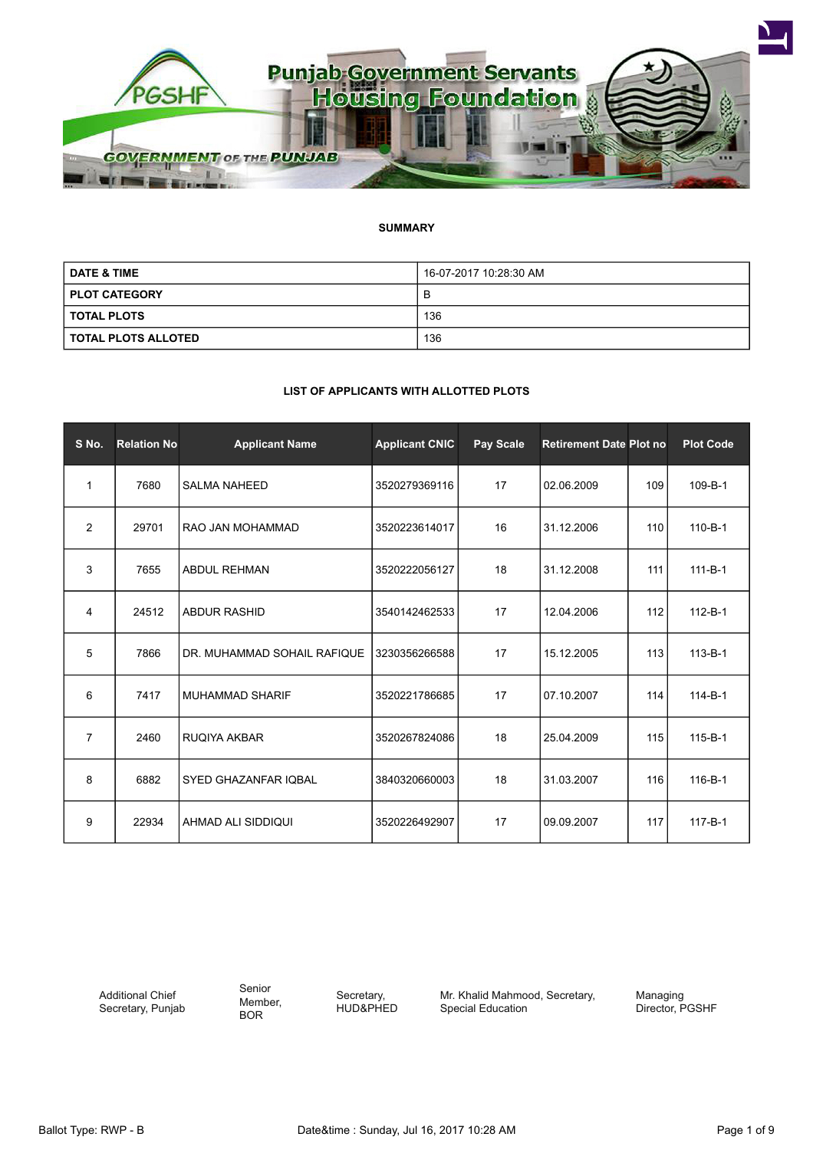

# **SUMMARY**

| <b>DATE &amp; TIME</b> | 16-07-2017 10:28:30 AM |
|------------------------|------------------------|
| <b>PLOT CATEGORY</b>   | В                      |
| <b>TOTAL PLOTS</b>     | 136                    |
| I TOTAL PLOTS ALLOTED  | 136                    |

# **LIST OF APPLICANTS WITH ALLOTTED PLOTS**

| S No.          | <b>Relation No</b> | <b>Applicant Name</b>       | <b>Applicant CNIC</b> | Pay Scale | <b>Retirement Date Plot no</b> |     | <b>Plot Code</b> |
|----------------|--------------------|-----------------------------|-----------------------|-----------|--------------------------------|-----|------------------|
| 1              | 7680               | <b>SALMA NAHEED</b>         | 3520279369116         | 17        | 02.06.2009                     | 109 | 109-B-1          |
| $\overline{2}$ | 29701              | RAO JAN MOHAMMAD            | 3520223614017         | 16        | 31.12.2006                     | 110 | $110 - B - 1$    |
| 3              | 7655               | <b>ABDUL REHMAN</b>         | 3520222056127         | 18        | 31.12.2008                     | 111 | $111 - B - 1$    |
| 4              | 24512              | <b>ABDUR RASHID</b>         | 3540142462533         | 17        | 12.04.2006                     | 112 | $112 - B - 1$    |
| 5              | 7866               | DR. MUHAMMAD SOHAIL RAFIQUE | 3230356266588         | 17        | 15.12.2005                     | 113 | $113 - B - 1$    |
| 6              | 7417               | <b>MUHAMMAD SHARIF</b>      | 3520221786685         | 17        | 07.10.2007                     | 114 | $114 - B - 1$    |
| $\overline{7}$ | 2460               | <b>RUQIYA AKBAR</b>         | 3520267824086         | 18        | 25.04.2009                     | 115 | $115 - B - 1$    |
| 8              | 6882               | <b>SYED GHAZANFAR IOBAL</b> | 3840320660003         | 18        | 31.03.2007                     | 116 | $116 - B - 1$    |
| 9              | 22934              | AHMAD ALI SIDDIQUI          | 3520226492907         | 17        | 09.09.2007                     | 117 | $117 - B - 1$    |

Additional Chief Secretary, Punjab Senior Member, BOR

Secretary, HUD&PHED Mr. Khalid Mahmood, Secretary, Special Education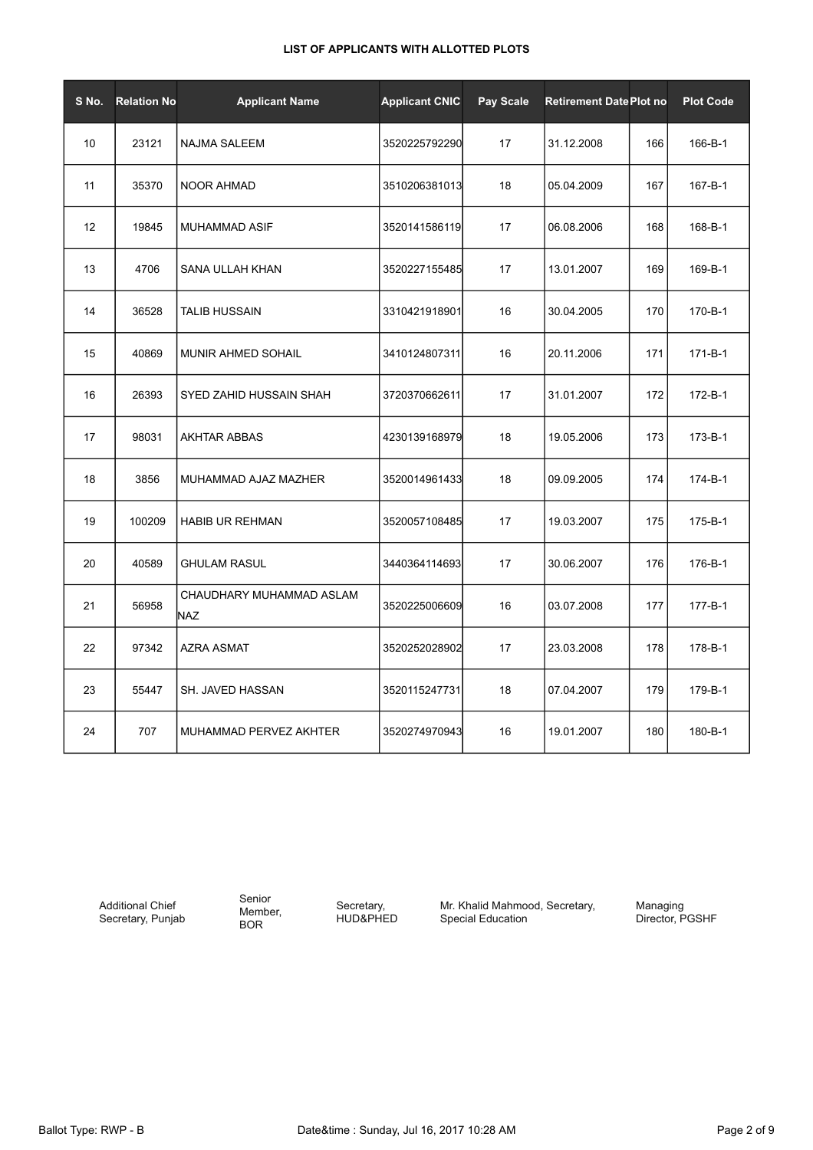| S No. | <b>Relation No</b> | <b>Applicant Name</b>           | <b>Applicant CNIC</b> | Pay Scale | <b>Retirement Date Plot no</b> |     | <b>Plot Code</b> |
|-------|--------------------|---------------------------------|-----------------------|-----------|--------------------------------|-----|------------------|
| 10    | 23121              | <b>NAJMA SALEEM</b>             | 3520225792290         | 17        | 31.12.2008                     | 166 | 166-B-1          |
| 11    | 35370              | <b>NOOR AHMAD</b>               | 3510206381013         | 18        | 05.04.2009                     | 167 | 167-B-1          |
| 12    | 19845              | <b>MUHAMMAD ASIF</b>            | 3520141586119         | 17        | 06.08.2006                     | 168 | 168-B-1          |
| 13    | 4706               | SANA ULLAH KHAN                 | 3520227155485         | 17        | 13.01.2007                     | 169 | 169-B-1          |
| 14    | 36528              | TALIB HUSSAIN                   | 3310421918901         | 16        | 30.04.2005                     | 170 | 170-B-1          |
| 15    | 40869              | MUNIR AHMED SOHAIL              | 3410124807311         | 16        | 20.11.2006                     | 171 | $171 - B - 1$    |
| 16    | 26393              | SYED ZAHID HUSSAIN SHAH         | 3720370662611         | 17        | 31.01.2007                     | 172 | 172-B-1          |
| 17    | 98031              | <b>AKHTAR ABBAS</b>             | 4230139168979         | 18        | 19.05.2006                     | 173 | 173-B-1          |
| 18    | 3856               | MUHAMMAD AJAZ MAZHER            | 3520014961433         | 18        | 09.09.2005                     | 174 | 174-B-1          |
| 19    | 100209             | <b>HABIB UR REHMAN</b>          | 3520057108485         | 17        | 19.03.2007                     | 175 | 175-B-1          |
| 20    | 40589              | <b>GHULAM RASUL</b>             | 3440364114693         | 17        | 30.06.2007                     | 176 | 176-B-1          |
| 21    | 56958              | CHAUDHARY MUHAMMAD ASLAM<br>NAZ | 3520225006609         | 16        | 03.07.2008                     | 177 | 177-B-1          |
| 22    | 97342              | <b>AZRA ASMAT</b>               | 3520252028902         | 17        | 23.03.2008                     | 178 | 178-B-1          |
| 23    | 55447              | SH. JAVED HASSAN                | 3520115247731         | 18        | 07.04.2007                     | 179 | 179-B-1          |
| 24    | 707                | MUHAMMAD PERVEZ AKHTER          | 3520274970943         | 16        | 19.01.2007                     | 180 | 180-B-1          |

Additional Chief Secretary, Punjab Senior Member, BOR

Secretary, HUD&PHED

Mr. Khalid Mahmood, Secretary, Special Education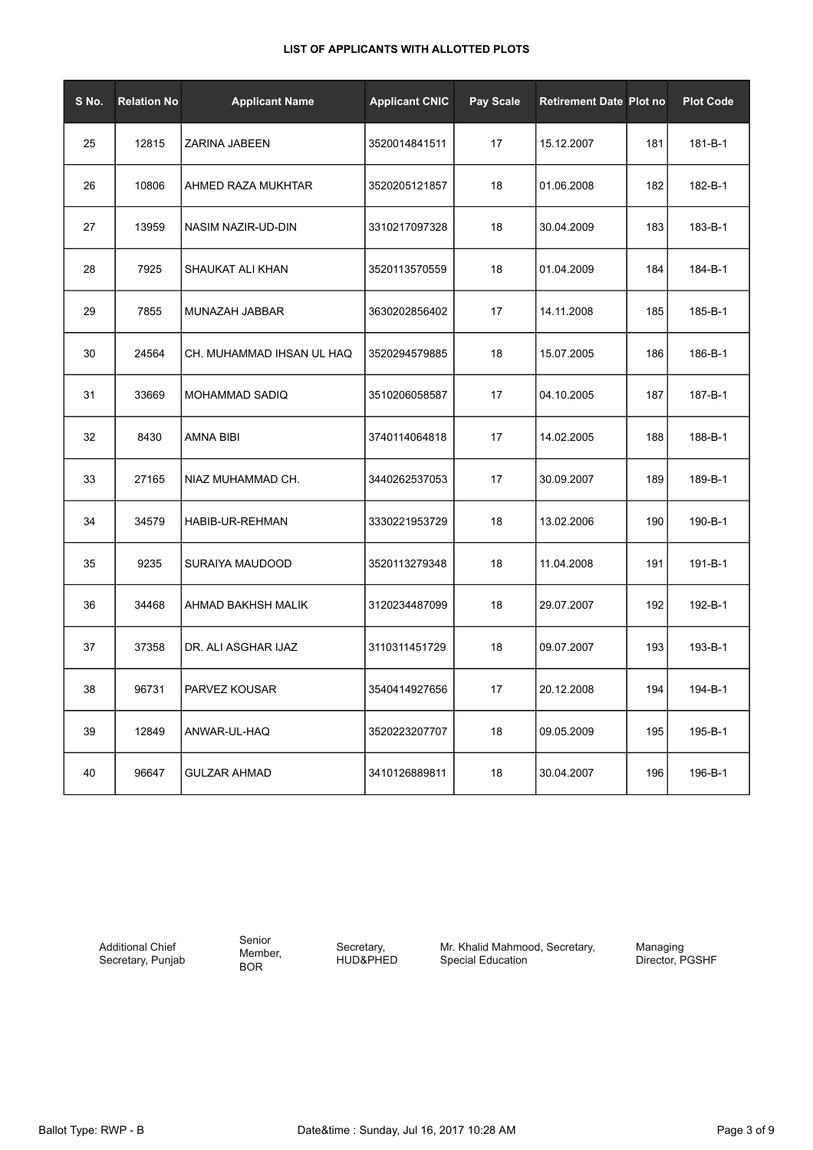| S No. | <b>Relation No</b> | <b>Applicant Name</b>     | <b>Applicant CNIC</b> | <b>Pay Scale</b> | <b>Retirement Date Plot no</b> |     | <b>Plot Code</b> |
|-------|--------------------|---------------------------|-----------------------|------------------|--------------------------------|-----|------------------|
| 25    | 12815              | ZARINA JABEEN             | 3520014841511         | 17               | 15.12.2007                     | 181 | 181-B-1          |
| 26    | 10806              | AHMED RAZA MUKHTAR        | 3520205121857         | 18               | 01.06.2008                     | 182 | 182-B-1          |
| 27    | 13959              | NASIM NAZIR-UD-DIN        | 3310217097328         | 18               | 30.04.2009                     | 183 | 183-B-1          |
| 28    | 7925               | SHAUKAT ALI KHAN          | 3520113570559         | 18               | 01.04.2009                     | 184 | 184-B-1          |
| 29    | 7855               | MUNAZAH JABBAR            | 3630202856402         | 17               | 14.11.2008                     | 185 | 185-B-1          |
| 30    | 24564              | CH. MUHAMMAD IHSAN UL HAQ | 3520294579885         | 18               | 15.07.2005                     | 186 | 186-B-1          |
| 31    | 33669              | <b>MOHAMMAD SADIQ</b>     | 3510206058587         | 17               | 04.10.2005                     | 187 | 187-B-1          |
| 32    | 8430               | AMNA BIBI                 | 3740114064818         | 17               | 14.02.2005                     | 188 | 188-B-1          |
| 33    | 27165              | NIAZ MUHAMMAD CH.         | 3440262537053         | 17               | 30.09.2007                     | 189 | 189-B-1          |
| 34    | 34579              | HABIB-UR-REHMAN           | 3330221953729         | 18               | 13.02.2006                     | 190 | 190-B-1          |
| 35    | 9235               | SURAIYA MAUDOOD           | 3520113279348         | 18               | 11.04.2008                     | 191 | 191-B-1          |
| 36    | 34468              | AHMAD BAKHSH MALIK        | 3120234487099         | 18               | 29.07.2007                     | 192 | 192-B-1          |
| 37    | 37358              | DR. ALI ASGHAR IJAZ       | 3110311451729         | 18               | 09.07.2007                     | 193 | 193-B-1          |
| 38    | 96731              | PARVEZ KOUSAR             | 3540414927656         | 17               | 20.12.2008                     | 194 | 194-B-1          |
| 39    | 12849              | ANWAR-UL-HAQ              | 3520223207707         | 18               | 09.05.2009                     | 195 | 195-B-1          |
| 40    | 96647              | <b>GULZAR AHMAD</b>       | 3410126889811         | 18               | 30.04.2007                     | 196 | 196-B-1          |

Additional Chief Secretary, Punjab Senior Member, BOR

Secretary, HUD&PHED Mr. Khalid Mahmood, Secretary, Special Education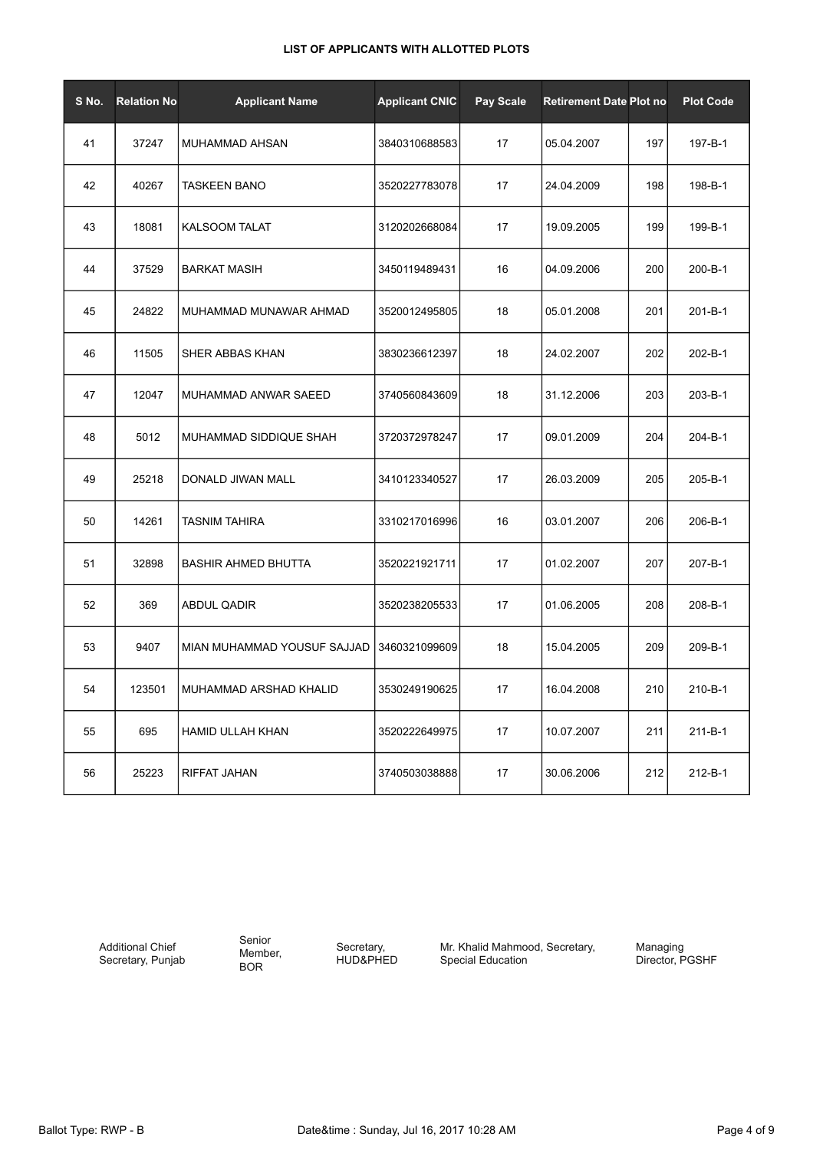| S No. | <b>Relation No</b> | <b>Applicant Name</b>       | <b>Applicant CNIC</b> | Pay Scale | <b>Retirement Date Plot no</b> |     | <b>Plot Code</b> |
|-------|--------------------|-----------------------------|-----------------------|-----------|--------------------------------|-----|------------------|
| 41    | 37247              | <b>MUHAMMAD AHSAN</b>       | 3840310688583         | 17        | 05.04.2007                     | 197 | 197-B-1          |
| 42    | 40267              | <b>TASKEEN BANO</b>         | 3520227783078         | 17        | 24.04.2009                     | 198 | 198-B-1          |
| 43    | 18081              | <b>KALSOOM TALAT</b>        | 3120202668084         | 17        | 19.09.2005                     | 199 | 199-B-1          |
| 44    | 37529              | <b>BARKAT MASIH</b>         | 3450119489431         | 16        | 04.09.2006                     | 200 | 200-B-1          |
| 45    | 24822              | MUHAMMAD MUNAWAR AHMAD      | 3520012495805         | 18        | 05.01.2008                     | 201 | $201 - B - 1$    |
| 46    | 11505              | SHER ABBAS KHAN             | 3830236612397         | 18        | 24.02.2007                     | 202 | 202-B-1          |
| 47    | 12047              | MUHAMMAD ANWAR SAEED        | 3740560843609         | 18        | 31.12.2006                     | 203 | 203-B-1          |
| 48    | 5012               | MUHAMMAD SIDDIQUE SHAH      | 3720372978247         | 17        | 09.01.2009                     | 204 | 204-B-1          |
| 49    | 25218              | DONALD JIWAN MALL           | 3410123340527         | 17        | 26.03.2009                     | 205 | 205-B-1          |
| 50    | 14261              | TASNIM TAHIRA               | 3310217016996         | 16        | 03.01.2007                     | 206 | 206-B-1          |
| 51    | 32898              | <b>BASHIR AHMED BHUTTA</b>  | 3520221921711         | 17        | 01.02.2007                     | 207 | 207-B-1          |
| 52    | 369                | ABDUL QADIR                 | 3520238205533         | 17        | 01.06.2005                     | 208 | 208-B-1          |
| 53    | 9407               | MIAN MUHAMMAD YOUSUF SAJJAD | 3460321099609         | 18        | 15.04.2005                     | 209 | 209-B-1          |
| 54    | 123501             | MUHAMMAD ARSHAD KHALID      | 3530249190625         | 17        | 16.04.2008                     | 210 | 210-B-1          |
| 55    | 695                | <b>HAMID ULLAH KHAN</b>     | 3520222649975         | 17        | 10.07.2007                     | 211 | 211-B-1          |
| 56    | 25223              | RIFFAT JAHAN                | 3740503038888         | 17        | 30.06.2006                     | 212 | 212-B-1          |

Additional Chief Secretary, Punjab Senior Member, BOR

Secretary, HUD&PHED Mr. Khalid Mahmood, Secretary, Special Education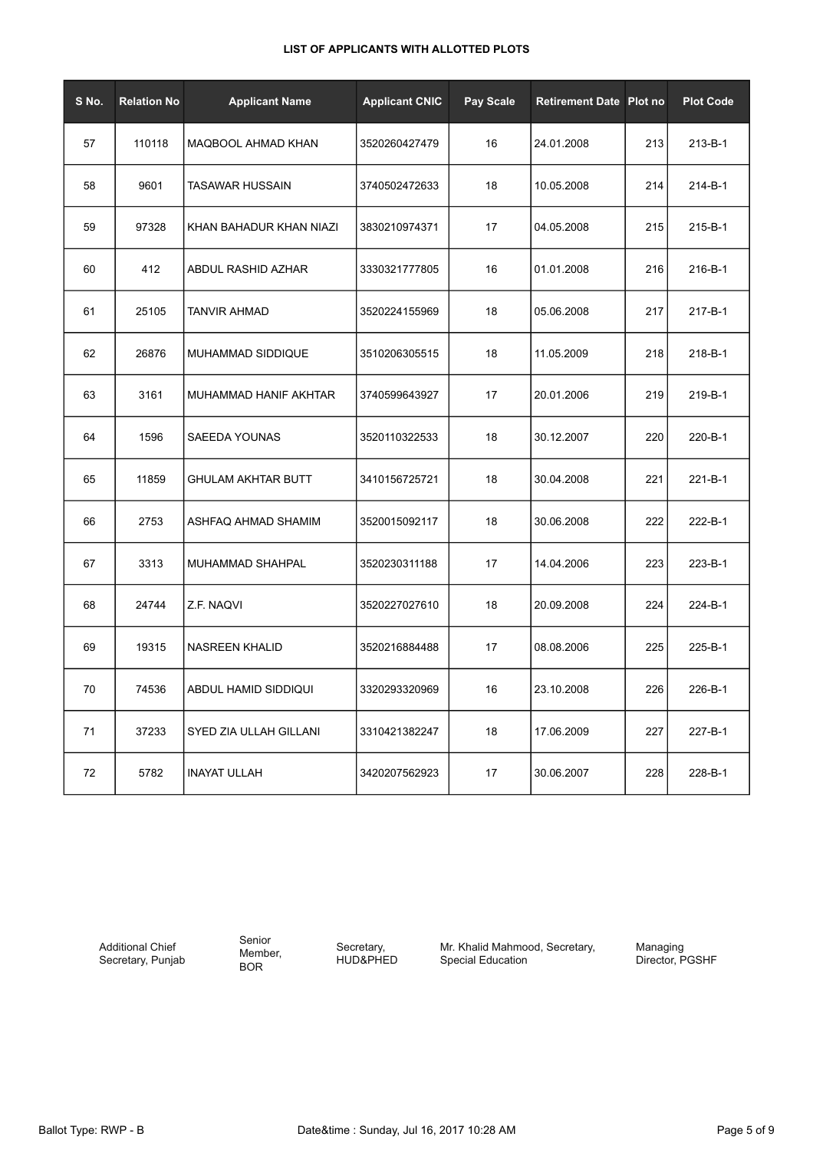| S No. | <b>Relation No</b> | <b>Applicant Name</b>     | <b>Applicant CNIC</b> | Pay Scale | <b>Retirement Date Plot no</b> |     | <b>Plot Code</b> |
|-------|--------------------|---------------------------|-----------------------|-----------|--------------------------------|-----|------------------|
| 57    | 110118             | MAQBOOL AHMAD KHAN        | 3520260427479         | 16        | 24.01.2008                     | 213 | 213-B-1          |
| 58    | 9601               | <b>TASAWAR HUSSAIN</b>    | 3740502472633         | 18        | 10.05.2008                     | 214 | 214-B-1          |
| 59    | 97328              | KHAN BAHADUR KHAN NIAZI   | 3830210974371         | 17        | 04.05.2008                     | 215 | 215-B-1          |
| 60    | 412                | ABDUL RASHID AZHAR        | 3330321777805         | 16        | 01.01.2008                     | 216 | 216-B-1          |
| 61    | 25105              | <b>TANVIR AHMAD</b>       | 3520224155969         | 18        | 05.06.2008                     | 217 | 217-B-1          |
| 62    | 26876              | MUHAMMAD SIDDIQUE         | 3510206305515         | 18        | 11.05.2009                     | 218 | 218-B-1          |
| 63    | 3161               | MUHAMMAD HANIF AKHTAR     | 3740599643927         | 17        | 20.01.2006                     | 219 | 219-B-1          |
| 64    | 1596               | SAEEDA YOUNAS             | 3520110322533         | 18        | 30.12.2007                     | 220 | 220-B-1          |
| 65    | 11859              | <b>GHULAM AKHTAR BUTT</b> | 3410156725721         | 18        | 30.04.2008                     | 221 | 221-B-1          |
| 66    | 2753               | ASHFAQ AHMAD SHAMIM       | 3520015092117         | 18        | 30.06.2008                     | 222 | 222-B-1          |
| 67    | 3313               | MUHAMMAD SHAHPAL          | 3520230311188         | 17        | 14.04.2006                     | 223 | 223-B-1          |
| 68    | 24744              | Z.F. NAQVI                | 3520227027610         | 18        | 20.09.2008                     | 224 | 224-B-1          |
| 69    | 19315              | <b>NASREEN KHALID</b>     | 3520216884488         | 17        | 08.08.2006                     | 225 | 225-B-1          |
| 70    | 74536              | ABDUL HAMID SIDDIQUI      | 3320293320969         | 16        | 23.10.2008                     | 226 | 226-B-1          |
| 71    | 37233              | SYED ZIA ULLAH GILLANI    | 3310421382247         | 18        | 17.06.2009                     | 227 | 227-B-1          |
| 72    | 5782               | <b>INAYAT ULLAH</b>       | 3420207562923         | 17        | 30.06.2007                     | 228 | 228-B-1          |

Additional Chief Secretary, Punjab Senior Member, BOR

Secretary, HUD&PHED Mr. Khalid Mahmood, Secretary, Special Education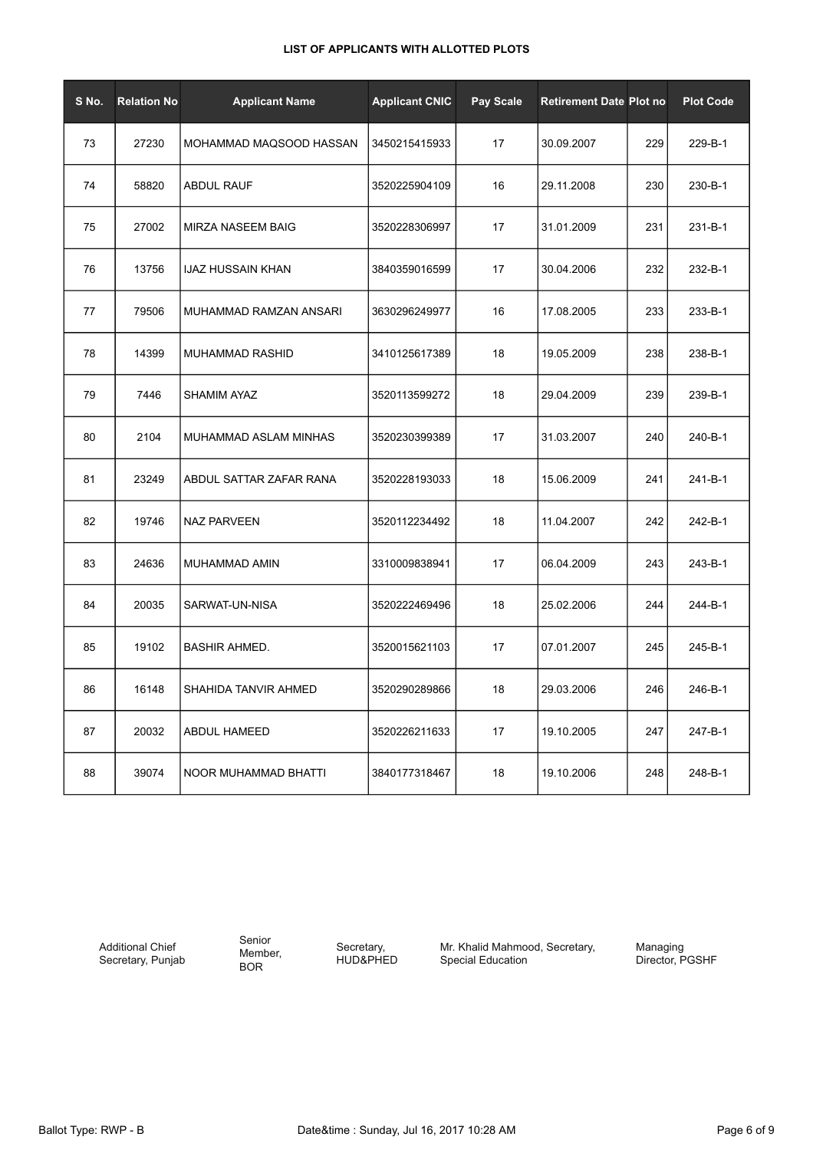| S No. | <b>Relation No</b> | <b>Applicant Name</b>    | <b>Applicant CNIC</b> | <b>Pay Scale</b> | <b>Retirement Date Plot no</b> |     | <b>Plot Code</b> |
|-------|--------------------|--------------------------|-----------------------|------------------|--------------------------------|-----|------------------|
| 73    | 27230              | MOHAMMAD MAQSOOD HASSAN  | 3450215415933         | 17               | 30.09.2007                     | 229 | 229-B-1          |
| 74    | 58820              | <b>ABDUL RAUF</b>        | 3520225904109         | 16               | 29.11.2008                     | 230 | 230-B-1          |
| 75    | 27002              | MIRZA NASEEM BAIG        | 3520228306997         | 17               | 31.01.2009                     | 231 | 231-B-1          |
| 76    | 13756              | <b>IJAZ HUSSAIN KHAN</b> | 3840359016599         | 17               | 30.04.2006                     | 232 | 232-B-1          |
| 77    | 79506              | MUHAMMAD RAMZAN ANSARI   | 3630296249977         | 16               | 17.08.2005                     | 233 | 233-B-1          |
| 78    | 14399              | MUHAMMAD RASHID          | 3410125617389         | 18               | 19.05.2009                     | 238 | 238-B-1          |
| 79    | 7446               | <b>SHAMIM AYAZ</b>       | 3520113599272         | 18               | 29.04.2009                     | 239 | 239-B-1          |
| 80    | 2104               | MUHAMMAD ASLAM MINHAS    | 3520230399389         | 17               | 31.03.2007                     | 240 | 240-B-1          |
| 81    | 23249              | ABDUL SATTAR ZAFAR RANA  | 3520228193033         | 18               | 15.06.2009                     | 241 | 241-B-1          |
| 82    | 19746              | <b>NAZ PARVEEN</b>       | 3520112234492         | 18               | 11.04.2007                     | 242 | 242-B-1          |
| 83    | 24636              | MUHAMMAD AMIN            | 3310009838941         | 17               | 06.04.2009                     | 243 | 243-B-1          |
| 84    | 20035              | SARWAT-UN-NISA           | 3520222469496         | 18               | 25.02.2006                     | 244 | 244-B-1          |
| 85    | 19102              | <b>BASHIR AHMED.</b>     | 3520015621103         | 17               | 07.01.2007                     | 245 | 245-B-1          |
| 86    | 16148              | SHAHIDA TANVIR AHMED     | 3520290289866         | 18               | 29.03.2006                     | 246 | 246-B-1          |
| 87    | 20032              | ABDUL HAMEED             | 3520226211633         | 17               | 19.10.2005                     | 247 | 247-B-1          |
| 88    | 39074              | NOOR MUHAMMAD BHATTI     | 3840177318467         | 18               | 19.10.2006                     | 248 | 248-B-1          |

Additional Chief Secretary, Punjab Senior Member, BOR

Secretary, HUD&PHED Mr. Khalid Mahmood, Secretary, Special Education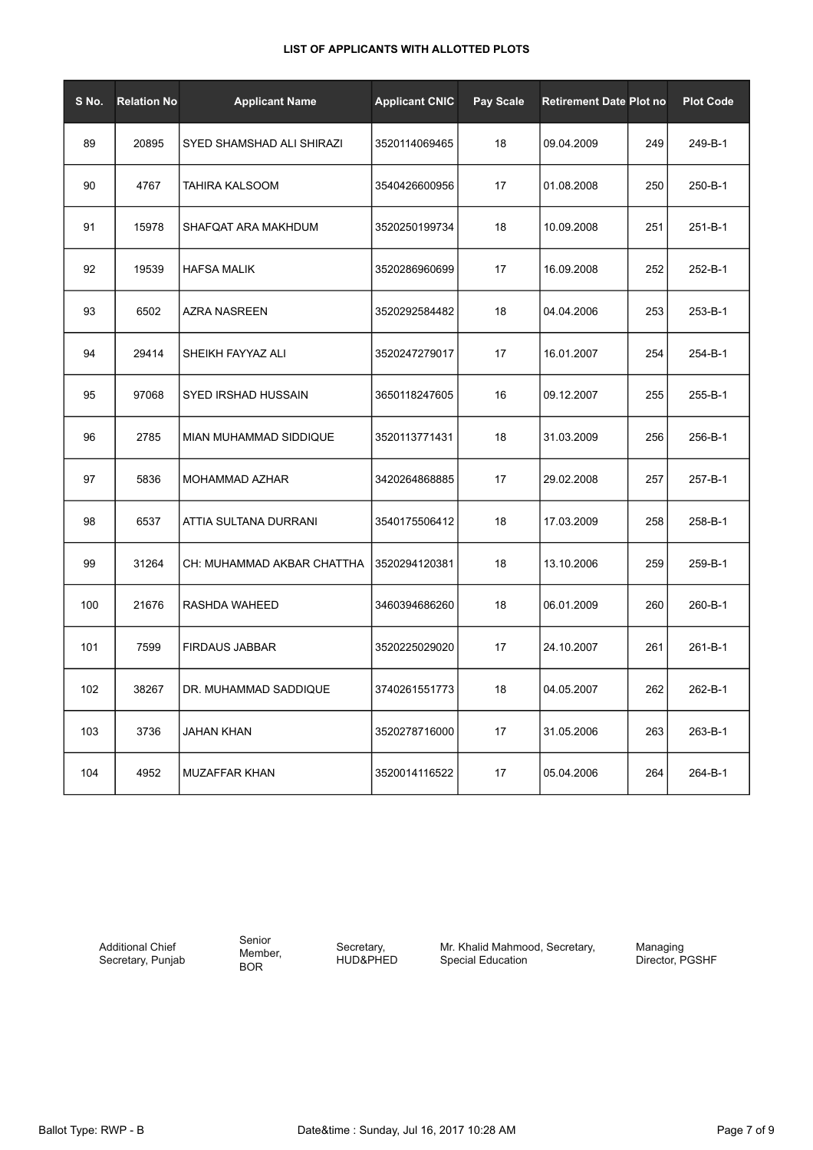| S No. | <b>Relation No</b> | <b>Applicant Name</b>      | <b>Applicant CNIC</b> | Pay Scale | <b>Retirement Date Plot no</b> |     | <b>Plot Code</b> |
|-------|--------------------|----------------------------|-----------------------|-----------|--------------------------------|-----|------------------|
| 89    | 20895              | SYED SHAMSHAD ALI SHIRAZI  | 3520114069465         | 18        | 09.04.2009                     | 249 | 249-B-1          |
| 90    | 4767               | TAHIRA KALSOOM             | 3540426600956         | 17        | 01.08.2008                     | 250 | 250-B-1          |
| 91    | 15978              | SHAFQAT ARA MAKHDUM        | 3520250199734         | 18        | 10.09.2008                     | 251 | 251-B-1          |
| 92    | 19539              | <b>HAFSA MALIK</b>         | 3520286960699         | 17        | 16.09.2008                     | 252 | 252-B-1          |
| 93    | 6502               | <b>AZRA NASREEN</b>        | 3520292584482         | 18        | 04.04.2006                     | 253 | 253-B-1          |
| 94    | 29414              | SHEIKH FAYYAZ ALI          | 3520247279017         | 17        | 16.01.2007                     | 254 | 254-B-1          |
| 95    | 97068              | SYED IRSHAD HUSSAIN        | 3650118247605         | 16        | 09.12.2007                     | 255 | 255-B-1          |
| 96    | 2785               | MIAN MUHAMMAD SIDDIQUE     | 3520113771431         | 18        | 31.03.2009                     | 256 | 256-B-1          |
| 97    | 5836               | MOHAMMAD AZHAR             | 3420264868885         | 17        | 29.02.2008                     | 257 | 257-B-1          |
| 98    | 6537               | ATTIA SULTANA DURRANI      | 3540175506412         | 18        | 17.03.2009                     | 258 | 258-B-1          |
| 99    | 31264              | CH: MUHAMMAD AKBAR CHATTHA | 3520294120381         | 18        | 13.10.2006                     | 259 | 259-B-1          |
| 100   | 21676              | RASHDA WAHEED              | 3460394686260         | 18        | 06.01.2009                     | 260 | 260-B-1          |
| 101   | 7599               | <b>FIRDAUS JABBAR</b>      | 3520225029020         | 17        | 24.10.2007                     | 261 | 261-B-1          |
| 102   | 38267              | DR. MUHAMMAD SADDIQUE      | 3740261551773         | 18        | 04.05.2007                     | 262 | 262-B-1          |
| 103   | 3736               | JAHAN KHAN                 | 3520278716000         | 17        | 31.05.2006                     | 263 | 263-B-1          |
| 104   | 4952               | MUZAFFAR KHAN              | 3520014116522         | 17        | 05.04.2006                     | 264 | 264-B-1          |

Additional Chief Secretary, Punjab Senior Member, BOR

Secretary, HUD&PHED Mr. Khalid Mahmood, Secretary, Special Education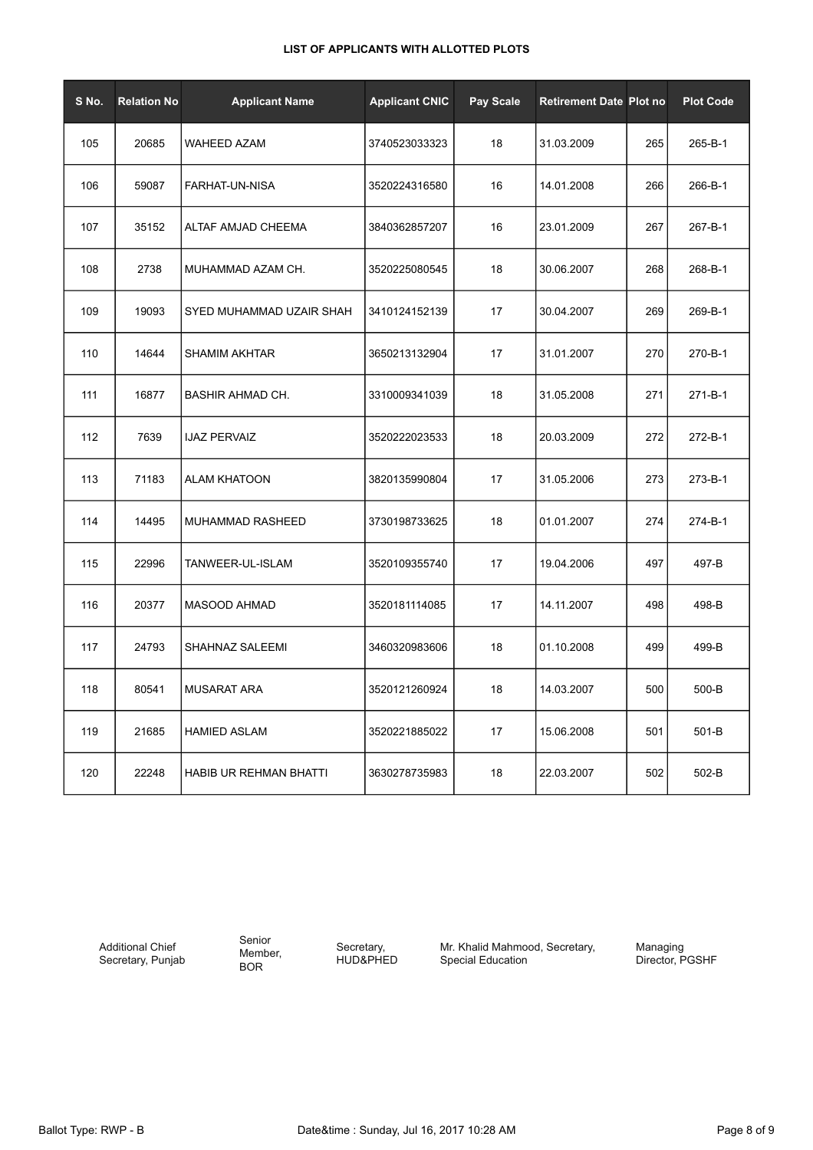| S No. | <b>Relation No</b> | <b>Applicant Name</b>    | <b>Applicant CNIC</b> | <b>Pay Scale</b> | <b>Retirement Date Plot no</b> |     | <b>Plot Code</b> |
|-------|--------------------|--------------------------|-----------------------|------------------|--------------------------------|-----|------------------|
| 105   | 20685              | <b>WAHEED AZAM</b>       | 3740523033323         | 18               | 31.03.2009                     | 265 | 265-B-1          |
| 106   | 59087              | FARHAT-UN-NISA           | 3520224316580         | 16               | 14.01.2008                     | 266 | 266-B-1          |
| 107   | 35152              | ALTAF AMJAD CHEEMA       | 3840362857207         | 16               | 23.01.2009                     | 267 | 267-B-1          |
| 108   | 2738               | MUHAMMAD AZAM CH.        | 3520225080545         | 18               | 30.06.2007                     | 268 | 268-B-1          |
| 109   | 19093              | SYED MUHAMMAD UZAIR SHAH | 3410124152139         | 17               | 30.04.2007                     | 269 | 269-B-1          |
| 110   | 14644              | <b>SHAMIM AKHTAR</b>     | 3650213132904         | 17               | 31.01.2007                     | 270 | 270-B-1          |
| 111   | 16877              | <b>BASHIR AHMAD CH.</b>  | 3310009341039         | 18               | 31.05.2008                     | 271 | 271-B-1          |
| 112   | 7639               | <b>IJAZ PERVAIZ</b>      | 3520222023533         | 18               | 20.03.2009                     | 272 | 272-B-1          |
| 113   | 71183              | <b>ALAM KHATOON</b>      | 3820135990804         | 17               | 31.05.2006                     | 273 | 273-B-1          |
| 114   | 14495              | MUHAMMAD RASHEED         | 3730198733625         | 18               | 01.01.2007                     | 274 | 274-B-1          |
| 115   | 22996              | TANWEER-UL-ISLAM         | 3520109355740         | 17               | 19.04.2006                     | 497 | 497-B            |
| 116   | 20377              | <b>MASOOD AHMAD</b>      | 3520181114085         | 17               | 14.11.2007                     | 498 | 498-B            |
| 117   | 24793              | SHAHNAZ SALEEMI          | 3460320983606         | 18               | 01.10.2008                     | 499 | 499-B            |
| 118   | 80541              | <b>MUSARAT ARA</b>       | 3520121260924         | 18               | 14.03.2007                     | 500 | 500-B            |
| 119   | 21685              | <b>HAMIED ASLAM</b>      | 3520221885022         | 17               | 15.06.2008                     | 501 | 501-B            |
| 120   | 22248              | HABIB UR REHMAN BHATTI   | 3630278735983         | 18               | 22.03.2007                     | 502 | 502-B            |

Additional Chief Secretary, Punjab Senior Member, BOR

Secretary, HUD&PHED Mr. Khalid Mahmood, Secretary, Special Education